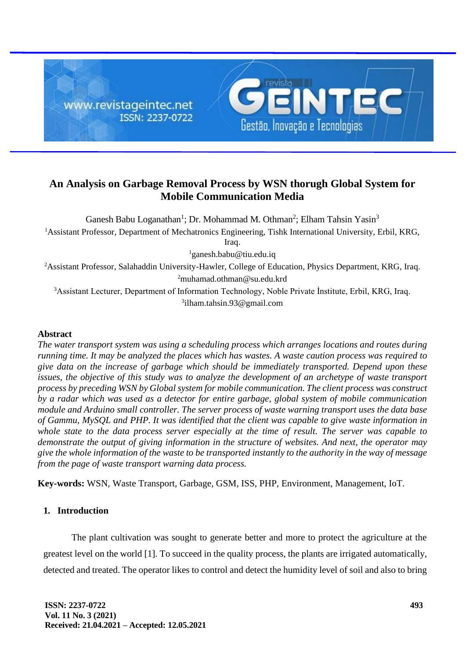

# **An Analysis on Garbage Removal Process by WSN thorugh Global System for Mobile Communication Media**

Ganesh Babu Loganathan<sup>1</sup>; Dr. Mohammad M. Othman<sup>2</sup>; Elham Tahsin Yasin<sup>3</sup> <sup>1</sup>Assistant Professor, Department of Mechatronics Engineering, Tishk International University, Erbil, KRG, Iraq.  $^1$ [ganesh.babu@tiu.edu.iq](mailto:ganesh.babu@tiu.edu.iq) <sup>2</sup>Assistant Professor, Salahaddin University-Hawler, College of Education, Physics Department, KRG, Iraq. <sup>2</sup>[muhamad.othman@su.edu.krd](mailto:muhamad.othman@su.edu.krd)

<sup>3</sup>Assistant Lecturer, Department of Information Technology, Noble Private İnstitute, Erbil, KRG, Iraq. 3 ilham.tahsin.93@gmail.com

## **Abstract**

*The water transport system was using a scheduling process which arranges locations and routes during running time. It may be analyzed the places which has wastes. A waste caution process was required to give data on the increase of garbage which should be immediately transported. Depend upon these issues, the objective of this study was to analyze the development of an archetype of waste transport process by preceding WSN by Global system for mobile communication. The client process was construct by a radar which was used as a detector for entire garbage, global system of mobile communication module and Arduino small controller. The server process of waste warning transport uses the data base of Gammu, MySQL and PHP. It was identified that the client was capable to give waste information in whole state to the data process server especially at the time of result. The server was capable to demonstrate the output of giving information in the structure of websites. And next, the operator may give the whole information of the waste to be transported instantly to the authority in the way of message from the page of waste transport warning data process.*

**Key-words:** WSN, Waste Transport, Garbage, GSM, ISS, PHP, Environment, Management, IoT.

## **1. Introduction**

The plant cultivation was sought to generate better and more to protect the agriculture at the greatest level on the world [1]. To succeed in the quality process, the plants are irrigated automatically, detected and treated. The operator likes to control and detect the humidity level of soil and also to bring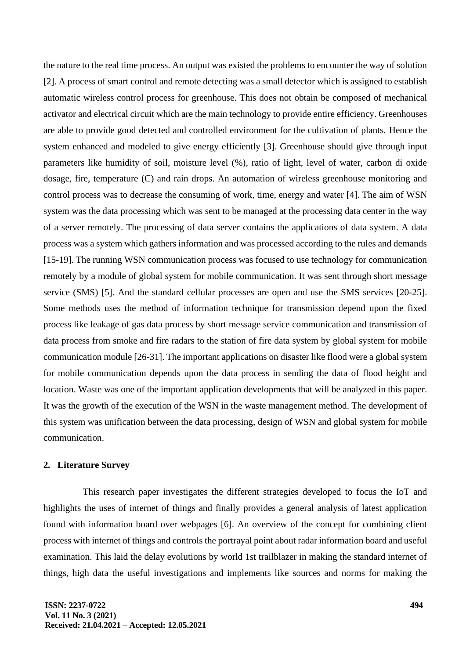the nature to the real time process. An output was existed the problems to encounter the way of solution [2]. A process of smart control and remote detecting was a small detector which is assigned to establish automatic wireless control process for greenhouse. This does not obtain be composed of mechanical activator and electrical circuit which are the main technology to provide entire efficiency. Greenhouses are able to provide good detected and controlled environment for the cultivation of plants. Hence the system enhanced and modeled to give energy efficiently [3]. Greenhouse should give through input parameters like humidity of soil, moisture level (%), ratio of light, level of water, carbon di oxide dosage, fire, temperature (C) and rain drops. An automation of wireless greenhouse monitoring and control process was to decrease the consuming of work, time, energy and water [4]. The aim of WSN system was the data processing which was sent to be managed at the processing data center in the way of a server remotely. The processing of data server contains the applications of data system. A data process was a system which gathers information and was processed according to the rules and demands [15-19]. The running WSN communication process was focused to use technology for communication remotely by a module of global system for mobile communication. It was sent through short message service (SMS) [5]. And the standard cellular processes are open and use the SMS services [20-25]. Some methods uses the method of information technique for transmission depend upon the fixed process like leakage of gas data process by short message service communication and transmission of data process from smoke and fire radars to the station of fire data system by global system for mobile communication module [26-31]. The important applications on disaster like flood were a global system for mobile communication depends upon the data process in sending the data of flood height and location. Waste was one of the important application developments that will be analyzed in this paper. It was the growth of the execution of the WSN in the waste management method. The development of this system was unification between the data processing, design of WSN and global system for mobile communication.

#### **2. Literature Survey**

This research paper investigates the different strategies developed to focus the IoT and highlights the uses of internet of things and finally provides a general analysis of latest application found with information board over webpages [6]. An overview of the concept for combining client process with internet of things and controls the portrayal point about radar information board and useful examination. This laid the delay evolutions by world 1st trailblazer in making the standard internet of things, high data the useful investigations and implements like sources and norms for making the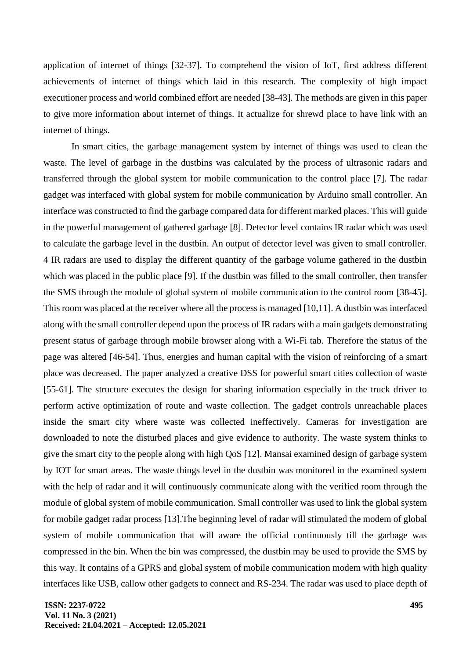application of internet of things [32-37]. To comprehend the vision of IoT, first address different achievements of internet of things which laid in this research. The complexity of high impact executioner process and world combined effort are needed [38-43]. The methods are given in this paper to give more information about internet of things. It actualize for shrewd place to have link with an internet of things.

In smart cities, the garbage management system by internet of things was used to clean the waste. The level of garbage in the dustbins was calculated by the process of ultrasonic radars and transferred through the global system for mobile communication to the control place [7]. The radar gadget was interfaced with global system for mobile communication by Arduino small controller. An interface was constructed to find the garbage compared data for different marked places. This will guide in the powerful management of gathered garbage [8]. Detector level contains IR radar which was used to calculate the garbage level in the dustbin. An output of detector level was given to small controller. 4 IR radars are used to display the different quantity of the garbage volume gathered in the dustbin which was placed in the public place [9]. If the dustbin was filled to the small controller, then transfer the SMS through the module of global system of mobile communication to the control room [38-45]. This room was placed at the receiver where all the process is managed [10,11]. A dustbin was interfaced along with the small controller depend upon the process of IR radars with a main gadgets demonstrating present status of garbage through mobile browser along with a Wi-Fi tab. Therefore the status of the page was altered [46-54]. Thus, energies and human capital with the vision of reinforcing of a smart place was decreased. The paper analyzed a creative DSS for powerful smart cities collection of waste [55-61]. The structure executes the design for sharing information especially in the truck driver to perform active optimization of route and waste collection. The gadget controls unreachable places inside the smart city where waste was collected ineffectively. Cameras for investigation are downloaded to note the disturbed places and give evidence to authority. The waste system thinks to give the smart city to the people along with high QoS [12]. Mansai examined design of garbage system by IOT for smart areas. The waste things level in the dustbin was monitored in the examined system with the help of radar and it will continuously communicate along with the verified room through the module of global system of mobile communication. Small controller was used to link the global system for mobile gadget radar process [13].The beginning level of radar will stimulated the modem of global system of mobile communication that will aware the official continuously till the garbage was compressed in the bin. When the bin was compressed, the dustbin may be used to provide the SMS by this way. It contains of a GPRS and global system of mobile communication modem with high quality interfaces like USB, callow other gadgets to connect and RS-234. The radar was used to place depth of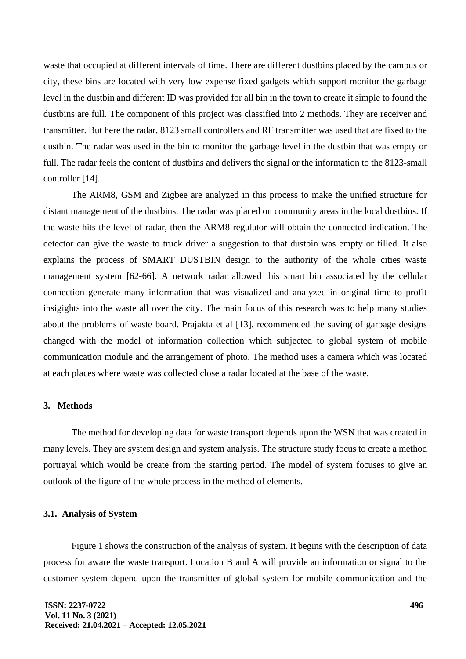waste that occupied at different intervals of time. There are different dustbins placed by the campus or city, these bins are located with very low expense fixed gadgets which support monitor the garbage level in the dustbin and different ID was provided for all bin in the town to create it simple to found the dustbins are full. The component of this project was classified into 2 methods. They are receiver and transmitter. But here the radar, 8123 small controllers and RF transmitter was used that are fixed to the dustbin. The radar was used in the bin to monitor the garbage level in the dustbin that was empty or full. The radar feels the content of dustbins and delivers the signal or the information to the 8123-small controller [14].

The ARM8, GSM and Zigbee are analyzed in this process to make the unified structure for distant management of the dustbins. The radar was placed on community areas in the local dustbins. If the waste hits the level of radar, then the ARM8 regulator will obtain the connected indication. The detector can give the waste to truck driver a suggestion to that dustbin was empty or filled. It also explains the process of SMART DUSTBIN design to the authority of the whole cities waste management system [62-66]. A network radar allowed this smart bin associated by the cellular connection generate many information that was visualized and analyzed in original time to profit insigights into the waste all over the city. The main focus of this research was to help many studies about the problems of waste board. Prajakta et al [13]. recommended the saving of garbage designs changed with the model of information collection which subjected to global system of mobile communication module and the arrangement of photo. The method uses a camera which was located at each places where waste was collected close a radar located at the base of the waste.

#### **3. Methods**

The method for developing data for waste transport depends upon the WSN that was created in many levels. They are system design and system analysis. The structure study focus to create a method portrayal which would be create from the starting period. The model of system focuses to give an outlook of the figure of the whole process in the method of elements.

#### **3.1. Analysis of System**

Figure 1 shows the construction of the analysis of system. It begins with the description of data process for aware the waste transport. Location B and A will provide an information or signal to the customer system depend upon the transmitter of global system for mobile communication and the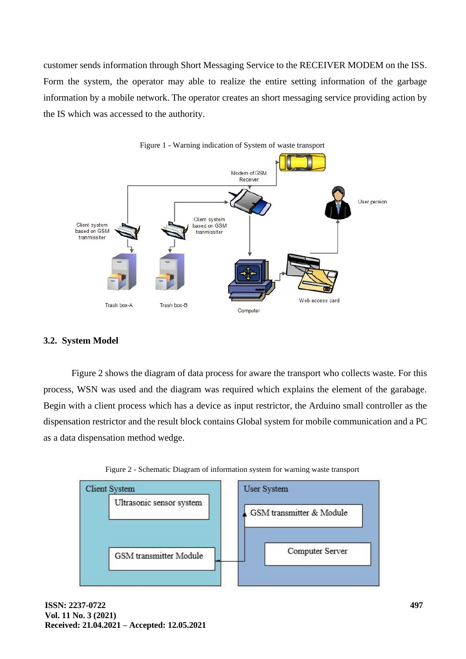customer sends information through Short Messaging Service to the RECEIVER MODEM on the ISS. Form the system, the operator may able to realize the entire setting information of the garbage information by a mobile network. The operator creates an short messaging service providing action by the IS which was accessed to the authority.





## **3.2. System Model**

Figure 2 shows the diagram of data process for aware the transport who collects waste. For this process, WSN was used and the diagram was required which explains the element of the garabage. Begin with a client process which has a device as input restrictor, the Arduino small controller as the dispensation restrictor and the result block contains Global system for mobile communication and a PC as a data dispensation method wedge.



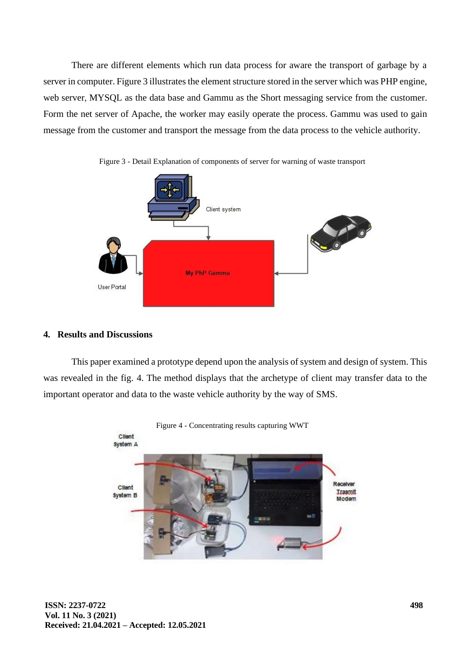There are different elements which run data process for aware the transport of garbage by a server in computer. Figure 3 illustrates the element structure stored in the server which was PHP engine, web server, MYSQL as the data base and Gammu as the Short messaging service from the customer. Form the net server of Apache, the worker may easily operate the process. Gammu was used to gain message from the customer and transport the message from the data process to the vehicle authority.



Figure 3 - Detail Explanation of components of server for warning of waste transport

#### **4. Results and Discussions**

This paper examined a prototype depend upon the analysis of system and design of system. This was revealed in the fig. 4. The method displays that the archetype of client may transfer data to the important operator and data to the waste vehicle authority by the way of SMS.

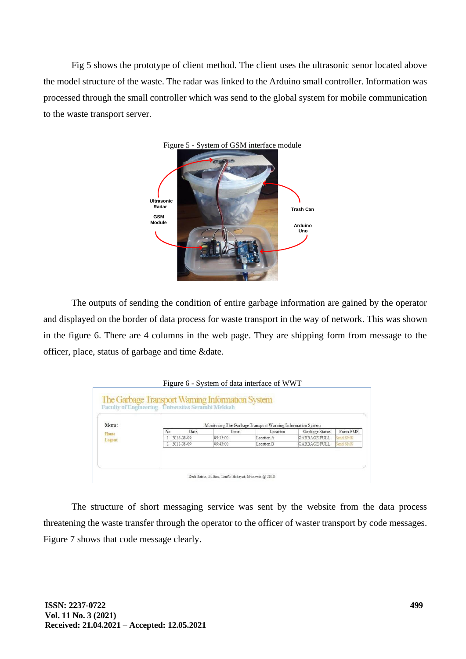Fig 5 shows the prototype of client method. The client uses the ultrasonic senor located above the model structure of the waste. The radar was linked to the Arduino small controller. Information was processed through the small controller which was send to the global system for mobile communication to the waste transport server.



The outputs of sending the condition of entire garbage information are gained by the operator and displayed on the border of data process for waste transport in the way of network. This was shown in the figure 6. There are 4 columns in the web page. They are shipping form from message to the officer, place, status of garbage and time &date.

| Menu:  |                |            |          |                                                                         |                     |          |
|--------|----------------|------------|----------|-------------------------------------------------------------------------|---------------------|----------|
|        | No             | Date       | Time     | Monitoring The Garbage Transport Warning Information System<br>Location | Garbage Status      | Form SMS |
| Home   |                | 2018-08-09 | 09:35:00 | Location A                                                              | <b>GARBAGE FULL</b> | Send SMS |
| Logout | $\mathfrak{D}$ | 2018-08-09 | 09:43:00 | Location B                                                              | <b>GARBAGE FULL</b> | Send SMS |

The structure of short messaging service was sent by the website from the data process threatening the waste transfer through the operator to the officer of waster transport by code messages. Figure 7 shows that code message clearly.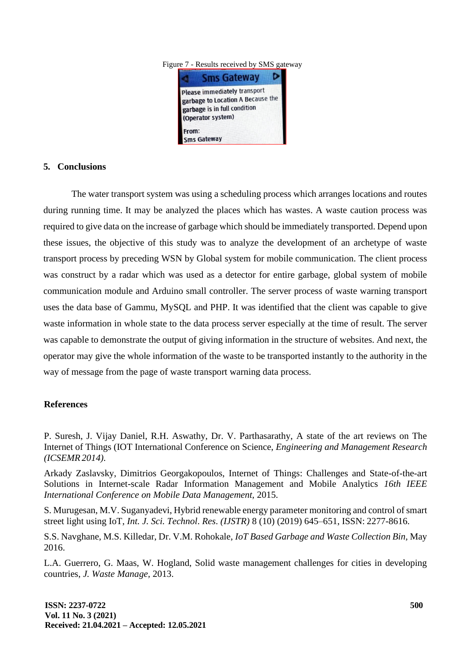

## **5. Conclusions**

The water transport system was using a scheduling process which arranges locations and routes during running time. It may be analyzed the places which has wastes. A waste caution process was required to give data on the increase of garbage which should be immediately transported. Depend upon these issues, the objective of this study was to analyze the development of an archetype of waste transport process by preceding WSN by Global system for mobile communication. The client process was construct by a radar which was used as a detector for entire garbage, global system of mobile communication module and Arduino small controller. The server process of waste warning transport uses the data base of Gammu, MySQL and PHP. It was identified that the client was capable to give waste information in whole state to the data process server especially at the time of result. The server was capable to demonstrate the output of giving information in the structure of websites. And next, the operator may give the whole information of the waste to be transported instantly to the authority in the way of message from the page of waste transport warning data process.

#### **References**

P. Suresh, J. Vijay Daniel, R.H. Aswathy, Dr. V. Parthasarathy, A state of the art reviews on The Internet of Things (IOT International Conference on Science, *Engineering and Management Research (ICSEMR2014).*

Arkady Zaslavsky, Dimitrios Georgakopoulos, Internet of Things: Challenges and State-of-the-art Solutions in Internet-scale Radar Information Management and Mobile Analytics *16th IEEE International Conference on Mobile Data Management,* 2015.

S. Murugesan, M.V. Suganyadevi, Hybrid renewable energy paramet[er monitoring and control of smart](http://refhub.elsevier.com/S2214-7853(20)36887-5/h0015)  [street](http://refhub.elsevier.com/S2214-7853(20)36887-5/h0015) light using IoT, *[Int. J. Sci. Technol](http://refhub.elsevier.com/S2214-7853(20)36887-5/h0015)*. *Res*. *(IJSTR)* [8 \(10\) \(2019\) 645–651, ISSN:](http://refhub.elsevier.com/S2214-7853(20)36887-5/h0015) 2277-8616.

S.S. Navghane, M.S. Killedar, Dr. V.M. Rohokale, *IoT Based Garbage and Waste Collection Bin,* May 2016.

L.A. Guerrero, G. Maas, W. Hogland, Solid waste management challenges for cities in developing countries, *J. Waste Manage,* 2013.

**ISSN: 2237-0722 Vol. 11 No. 3 (2021) Received: 21.04.2021 – Accepted: 12.05.2021**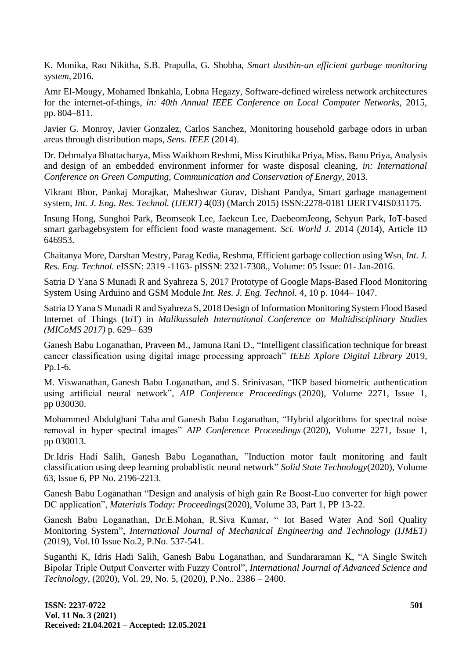K. Monika, Rao Nikitha, S.B. Prapulla, G. Shobha, *Smart dustbin-an efficient garbage monitoring system,* 2016.

Amr El-Mougy, Mohamed Ibnkahla, Lobna Hegazy, Software-defined wireless network architectures for the internet-of-things, *in: 40th Annual IEEE Conference on Local Computer Networks,* 2015, pp. 804–811.

Javier G. Monroy, Javier Gonzalez, Carlos Sanchez, [Monitoring](http://refhub.elsevier.com/S2214-7853(20)36887-5/h0040) household [garbage](http://refhub.elsevier.com/S2214-7853(20)36887-5/h0040) odors in urban areas [through](http://refhub.elsevier.com/S2214-7853(20)36887-5/h0040) [distribution maps,](http://refhub.elsevier.com/S2214-7853(20)36887-5/h0040) *Sens. IEEE* (2014[\).](http://refhub.elsevier.com/S2214-7853(20)36887-5/h0040)

Dr. Debmalya Bhattacharya, Miss Waikhom Reshmi, Miss Kiruthika Priya, Miss. Banu Priya, Analysis and design of an embedded environment informer for waste disposal cleaning, *in: International Conference on Green Computing, Communication and Conservation of Energy,* 2013.

Vikrant Bhor, Pankaj Morajkar, Maheshwar Gurav, Dishant Pandya, Smart garbage management system, *Int. J. Eng. Res. Technol. (IJERT)* 4(03) (March 2015) ISSN:2278-0181 IJERTV4IS031175.

Insung Hong, Sunghoi Park, Beomseok Lee, Jaekeun Lee, DaebeomJeong, Sehyun Park, IoT-based smart garbagebsystem for efficient food waste management. *Sci. World J.* 2014 (2014), Article ID 646953.

Chaitanya More, Darshan Mestry, Parag Kedia, Reshma, Efficient garbage collection using Wsn, *Int. J. Res. Eng. Technol.* eISSN: 2319 -1163- pISSN: 2321-7308., Volume: 05 Issue: 01- Jan-2016.

Satria D Yana S Munadi R and Syahreza S, 2017 Prototype of Google Maps-Based Flood Monitoring System Using Arduino and GSM Module *Int. Res. J. Eng. Technol.* 4, 10 p. 1044– 1047.

Satria D Yana S Munadi R and Syahreza S, 2018 Design of Information Monitoring System Flood Based Internet of Things (IoT) in *Malikussaleh International Conference on Multidisciplinary Studies (MICoMS 2017)* p. 629– 639

[Ganesh Babu Loganathan,](https://ieeexplore.ieee.org/author/37087057127) [Praveen M.,](https://ieeexplore.ieee.org/author/37087121827) [Jamuna Rani D.,](https://ieeexplore.ieee.org/author/37087123609) "Intelligent classification technique for breast cancer classification using digital image processing approach" *IEEE Xplore Digital Library* 2019, Pp.1-6.

[M. Viswanathan,](https://aip.scitation.org/author/Viswanathan%2C+M) [Ganesh Babu Loganathan,](https://aip.scitation.org/author/Loganathan%2C+Ganesh+Babu) and [S. Srinivasan,](https://aip.scitation.org/author/Srinivasan%2C+S) "IKP based biometric authentication using artificial neural network", *[AIP Conference Proceedings](https://aip.scitation.org/journal/apc)* (2020), [Volume 2271, Issue 1,](https://aip.scitation.org/toc/apc/2271/1)  [pp 030030.](https://aip.scitation.org/toc/apc/2271/1)

[Mohammed Abdulghani Taha](https://aip.scitation.org/author/Taha%2C+Mohammed+Abdulghani) and [Ganesh Babu Loganathan,](https://aip.scitation.org/author/Loganathan%2C+Ganesh+Babu) "Hybrid algorithms for spectral noise removal in hyper spectral images" *AIP Conference Proceedings* (2020), [Volume 2271, Issue 1,](https://aip.scitation.org/toc/apc/2271/1)  [pp 030013.](https://aip.scitation.org/toc/apc/2271/1)

Dr.Idris Hadi Salih, Ganesh Babu Loganathan, ["Induction motor fault monitoring and fault](http://solidstatetechnology.us/index.php/JSST/article/view/2846)  [classification using deep learning probablistic neural network"](http://solidstatetechnology.us/index.php/JSST/article/view/2846) *Solid State Technology*(2020), Volume 63, Issue 6, PP No. 2196-2213.

[Ganesh Babu Loganathan](https://www.sciencedirect.com/science/article/pii/S2214785320308154#!) "Design and analysis of high gain Re Boost-Luo converter for high power DC application", *Materials Today: Proceedings*(2020), [Volume 33, Part 1,](https://www.sciencedirect.com/science/journal/22147853/33/part/P1) PP 13-22.

Ganesh Babu Loganathan, Dr.E.Mohan, R.Siva Kumar, " [Iot Based Water And Soil Quality](http://scholar.google.com/scholar?cluster=16170734853818776507&hl=en&oi=scholarr)  [Monitoring System"](http://scholar.google.com/scholar?cluster=16170734853818776507&hl=en&oi=scholarr), *International Journal of Mechanical Engineering and Technology (IJMET)* (2019), Vol.10 Issue No.2, P.No. 537-541.

Suganthi K, Idris Hadi Salih, Ganesh Babu Loganathan, and Sundararaman K, "A Single Switch Bipolar Triple Output Converter with Fuzzy Control", *International Journal of Advanced Science and Technology,* (2020), Vol. 29, No. 5, (2020), P.No.. 2386 – 2400.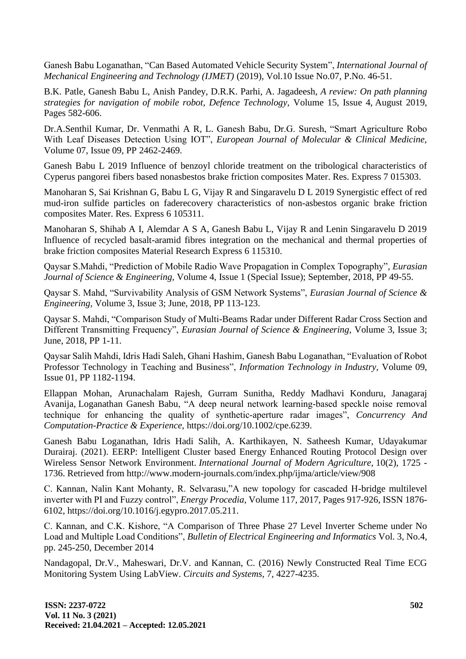Ganesh Babu Loganathan, ["Can Based Automated Vehicle Security System"](https://papers.ssrn.com/sol3/papers.cfm?abstract_id=3448346), *International Journal of Mechanical Engineering and Technology (IJMET)* (2019), Vol.10 Issue No.07, P.No. 46-51.

B.K. Patle, Ganesh Babu L, Anish Pandey, D.R.K. Parhi, A. Jagadeesh, *A review: On path planning strategies for navigation of mobile robot, Defence Technology,* [Volume](https://www.sciencedirect.com/science/journal/22149147/15/4) 15, Issue 4, August 2019, Pages 582-606.

Dr.A.Senthil Kumar, Dr. Venmathi A R, L. Ganesh Babu, Dr.G. Suresh, "Smart Agriculture Robo With Leaf Diseases Detection Using IOT", *European Journal of Molecular & Clinical Medicine,* Volume 07, Issue 09, PP 2462-2469.

Ganesh Babu L 2019 Influence of benzoyl chloride treatment on the tribological characteristics of Cyperus pangorei fibers based nonasbestos brake friction composites Mater. Res. Express 7 015303.

Manoharan S, Sai Krishnan G, Babu L G, Vijay R and Singaravelu D L 2019 Synergistic effect of red mud-iron sulfide particles on faderecovery characteristics of non-asbestos organic brake friction composites Mater. Res. Express 6 105311.

Manoharan S, Shihab A I, Alemdar A S A, Ganesh Babu L, Vijay R and Lenin Singaravelu D 2019 Influence of recycled basalt-aramid fibres integration on the mechanical and thermal properties of brake friction composites Material Research Express 6 115310.

Qaysar S.Mahdi, "Prediction of Mobile Radio Wave Propagation in Complex Topography", *Eurasian Journal of Science & Engineering,* Volume 4, Issue 1 (Special Issue); September, 2018, PP 49-55.

Qaysar S. Mahd, "Survivability Analysis of GSM Network Systems", *Eurasian Journal of Science & Engineering,* Volume 3, Issue 3; June, 2018, PP 113-123.

Qaysar S. Mahdi, "Comparison Study of Multi-Beams Radar under Different Radar Cross Section and Different Transmitting Frequency", *Eurasian Journal of Science & Engineering,* Volume 3, Issue 3; June, 2018, PP 1-11.

Qaysar Salih Mahdi, Idris Hadi Saleh, Ghani Hashim, Ganesh Babu Loganathan, "Evaluation of Robot Professor Technology in Teaching and Business", *Information Technology in Industry,* Volume 09, Issue 01, PP 1182-1194.

[Ellappan Mohan,](https://onlinelibrary.wiley.com/action/doSearch?ContribAuthorStored=Mohan%2C+Ellappan) [Arunachalam Rajesh,](https://onlinelibrary.wiley.com/action/doSearch?ContribAuthorStored=Rajesh%2C+Arunachalam) [Gurram Sunitha,](https://onlinelibrary.wiley.com/action/doSearch?ContribAuthorStored=Sunitha%2C+Gurram) [Reddy Madhavi Konduru,](https://onlinelibrary.wiley.com/action/doSearch?ContribAuthorStored=Konduru%2C+Reddy+Madhavi) [Janagaraj](https://onlinelibrary.wiley.com/action/doSearch?ContribAuthorStored=Avanija%2C+Janagaraj)  [Avanija,](https://onlinelibrary.wiley.com/action/doSearch?ContribAuthorStored=Avanija%2C+Janagaraj) [Loganathan Ganesh Babu,](https://onlinelibrary.wiley.com/action/doSearch?ContribAuthorStored=Ganesh+Babu%2C+Loganathan) "A deep neural network learning‐based speckle noise removal technique for enhancing the quality of synthetic‐aperture radar images", *Concurrency And Computation-Practice & Experience,* [https://doi.org/10.1002/cpe.6239.](https://doi.org/10.1002/cpe.6239)

Ganesh Babu Loganathan, Idris Hadi Salih, A. Karthikayen, N. Satheesh Kumar, Udayakumar Durairaj. (2021). EERP: Intelligent Cluster based Energy Enhanced Routing Protocol Design over Wireless Sensor Network Environment. *International Journal of Modern Agriculture,* 10(2), 1725 - 1736. Retrieved from<http://www.modern-journals.com/index.php/ijma/article/view/908>

C. Kannan, Nalin Kant Mohanty, R. Selvarasu,"A new topology for cascaded H-bridge multilevel inverter with PI and Fuzzy control", *Energy Procedia,* Volume 117, 2017, Pages 917-926, ISSN 1876- 6102, [https://doi.org/10.1016/j.egypro.2017.05.211.](https://doi.org/10.1016/j.egypro.2017.05.211)

C. Kannan, and C.K. Kishore, "A Comparison of Three Phase 27 Level Inverter Scheme under No Load and Multiple Load Conditions", *Bulletin of Electrical Engineering and Informatics* Vol. 3, No.4, pp. 245-250, December 2014

Nandagopal, Dr.V., Maheswari, Dr.V. and Kannan, C. (2016) Newly Constructed Real Time ECG Monitoring System Using LabView. *Circuits and Systems,* 7, 4227-4235.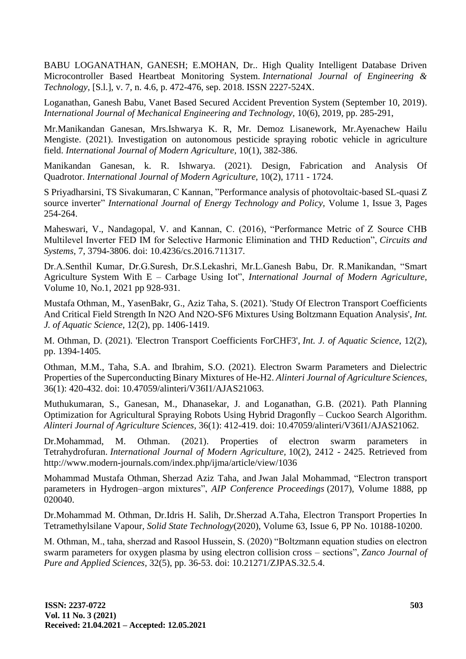BABU LOGANATHAN, GANESH; E.MOHAN, Dr.. High Quality Intelligent Database Driven Microcontroller Based Heartbeat Monitoring System. *International Journal of Engineering & Technology,* [S.l.], v. 7, n. 4.6, p. 472-476, sep. 2018. ISSN 2227-524X.

Loganathan, Ganesh Babu, Vanet Based Secured Accident Prevention System (September 10, 2019). *International Journal of Mechanical Engineering and Technology,* 10(6), 2019, pp. 285-291,

Mr.Manikandan Ganesan, Mrs.Ishwarya K. R, Mr. Demoz Lisanework, Mr.Ayenachew Hailu Mengiste. (2021). Investigation on autonomous pesticide spraying robotic vehicle in agriculture field. *International Journal of Modern Agriculture,* 10(1), 382-386.

Manikandan Ganesan, k. R. Ishwarya. (2021). Design, Fabrication and Analysis Of Quadrotor. *International Journal of Modern Agriculture,* 10(2), 1711 - 1724.

S Priyadharsini, TS Sivakumaran, C Kannan, ["Performance analysis of photovoltaic-based SL-quasi Z](javascript:void(0))  [source inverter"](javascript:void(0)) *International Journal of Energy Technology and Policy,* Volume 1, Issue 3, Pages 254-264.

Maheswari, V., Nandagopal, V. and Kannan, C. (2016), "Performance Metric of Z Source CHB Multilevel Inverter FED IM for Selective Harmonic Elimination and THD Reduction", *Circuits and Systems,* 7, 3794-3806. doi: [10.4236/cs.2016.711317.](http://dx.doi.org/10.4236/cs.2016.711317)

Dr.A.Senthil Kumar, Dr.G.Suresh, Dr.S.Lekashri, Mr.L.Ganesh Babu, Dr. R.Manikandan, "Smart Agriculture System With E – Carbage Using Iot", *International Journal of Modern Agriculture,* Volume 10, No.1, 2021 pp 928-931.

Mustafa Othman, M., YasenBakr, G., Aziz Taha, S. (2021). 'Study Of Electron Transport Coefficients And Critical Field Strength In N2O And N2O-SF6 Mixtures Using Boltzmann Equation Analysis', *Int. J. of Aquatic Science*, 12(2), pp. 1406-1419.

M. Othman, D. (2021). 'Electron Transport Coefficients ForCHF3', *Int. J. of Aquatic Science*, 12(2), pp. 1394-1405.

Othman, M.M., Taha, S.A. and Ibrahim, S.O. (2021). Electron Swarm Parameters and Dielectric Properties of the Superconducting Binary Mixtures of He-H2. *Alinteri Journal of Agriculture Sciences,* 36(1): 420-432. doi: 10.47059/alinteri/V36I1/AJAS21063.

Muthukumaran, S., Ganesan, M., Dhanasekar, J. and Loganathan, G.B. (2021). Path Planning Optimization for Agricultural Spraying Robots Using Hybrid Dragonfly – Cuckoo Search Algorithm. *Alinteri Journal of Agriculture Sciences,* 36(1): 412-419. doi: 10.47059/alinteri/V36I1/AJAS21062.

Dr.Mohammad, M. Othman. (2021). Properties of electron swarm parameters in Tetrahydrofuran. *International Journal of Modern Agriculture,* 10(2), 2412 - 2425. Retrieved from <http://www.modern-journals.com/index.php/ijma/article/view/1036>

[Mohammad Mustafa Othman,](https://aip.scitation.org/author/Othman%2C+Mohammad+Mustafa) [Sherzad Aziz Taha,](https://aip.scitation.org/author/Taha%2C+Sherzad+Aziz) and [Jwan Jalal Mohammad,](https://aip.scitation.org/author/Mohammad%2C+Jwan+Jalal) "Electron transport parameters in Hydrogen–argon mixtures", *AIP Conference Proceedings* (2017), [Volume 1888, pp](https://aip.scitation.org/toc/apc/2271/1)  [020040.](https://aip.scitation.org/toc/apc/2271/1)

Dr.Mohammad M. Othman, Dr.Idris H. Salih, Dr.Sherzad A.Taha, Electron Transport Properties In Tetramethylsilane Vapour, *Solid State Technology*(2020), Volume 63, Issue 6, PP No. 10188-10200.

M. Othman, M., taha, sherzad and Rasool Hussein, S. (2020) "Boltzmann equation studies on electron swarm parameters for oxygen plasma by using electron collision cross – sections", *Zanco Journal of Pure and Applied Sciences,* 32(5), pp. 36-53. doi: 10.21271/ZJPAS.32.5.4.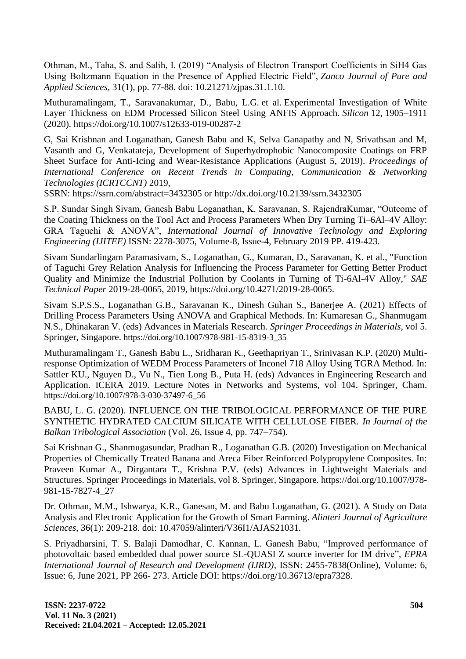Othman, M., Taha, S. and Salih, I. (2019) "Analysis of Electron Transport Coefficients in SiH4 Gas Using Boltzmann Equation in the Presence of Applied Electric Field", *Zanco Journal of Pure and Applied Sciences,* 31(1), pp. 77-88. doi: 10.21271/zjpas.31.1.10.

Muthuramalingam, T., Saravanakumar, D., Babu, L.G. et al. Experimental Investigation of White Layer Thickness on EDM Processed Silicon Steel Using ANFIS Approach. *Silicon* 12, 1905–1911 (2020).<https://doi.org/10.1007/s12633-019-00287-2>

G, Sai Krishnan and Loganathan, Ganesh Babu and K, Selva Ganapathy and N, Srivathsan and M, Vasanth and G, Venkatateja, Development of Superhydrophobic Nanocomposite Coatings on FRP Sheet Surface for Anti-Icing and Wear-Resistance Applications (August 5, 2019). *Proceedings of International Conference on Recent Trends in Computing, Communication & Networking Technologies (ICRTCCNT)* 2019,

SSRN: <https://ssrn.com/abstract=3432305> or [http://dx.doi.org/10.2139/ssrn.3432305](https://dx.doi.org/10.2139/ssrn.3432305)

S.P. Sundar Singh Sivam, Ganesh Babu Loganathan, K. Saravanan, S. RajendraKumar, "Outcome of the Coating Thickness on the Tool Act and Process Parameters When Dry Turning Ti–6Al–4V Alloy: GRA Taguchi & ANOVA", *International Journal of Innovative Technology and Exploring Engineering (IJITEE)* ISSN: 2278-3075, Volume-8, Issue-4, February 2019 PP. 419-423.

Sivam Sundarlingam Paramasivam, S., Loganathan, G., Kumaran, D., Saravanan, K. et al., "Function of Taguchi Grey Relation Analysis for Influencing the Process Parameter for Getting Better Product Quality and Minimize the Industrial Pollution by Coolants in Turning of Ti-6Al-4V Alloy," *SAE Technical Paper* 2019-28-0065, 2019, [https://doi.org/10.4271/2019-28-0065.](https://doi.org/10.4271/2019-28-0065)

Sivam S.P.S.S., Loganathan G.B., Saravanan K., Dinesh Guhan S., Banerjee A. (2021) Effects of Drilling Process Parameters Using ANOVA and Graphical Methods. In: Kumaresan G., Shanmugam N.S., Dhinakaran V. (eds) Advances in Materials Research. *Springer Proceedings in Materials,* vol 5. Springer, Singapore. [https://doi.org/10.1007/978-](https://doi.org/10.1007/978-981-15-8319-3_35)981-15-8319-3\_35

Muthuramalingam T., Ganesh Babu L., Sridharan K., Geethapriyan T., Srinivasan K.P. (2020) Multiresponse Optimization of WEDM Process Parameters of Inconel 718 Alloy Using TGRA Method. In: Sattler KU., Nguyen D., Vu N., Tien Long B., Puta H. (eds) Advances in Engineering Research and Application. ICERA 2019. Lecture Notes in Networks and Systems, vol 104. Springer, Cham. [https://doi.org/10.1007/978-3-030-37497-6\\_56](https://doi.org/10.1007/978-3-030-37497-6_56)

BABU, L. G. (2020). INFLUENCE ON THE TRIBOLOGICAL PERFORMANCE OF THE PURE SYNTHETIC HYDRATED CALCIUM SILICATE WITH CELLULOSE FIBER. *In Journal of the Balkan Tribological Association* (Vol. 26, Issue 4, pp. 747–754).

Sai Krishnan G., Shanmugasundar, Pradhan R., Loganathan G.B. (2020) Investigation on Mechanical Properties of Chemically Treated Banana and Areca Fiber Reinforced Polypropylene Composites. In: Praveen Kumar A., Dirgantara T., Krishna P.V. (eds) Advances in Lightweight Materials and Structures. Springer Proceedings in Materials, vol 8. Springer, Singapore. https://doi.org/10.1007/978- 981-15-7827-4\_27

Dr. Othman, M.M., Ishwarya, K.R., Ganesan, M. and Babu Loganathan, G. (2021). A Study on Data Analysis and Electronic Application for the Growth of Smart Farming. *Alinteri Journal of Agriculture Sciences,* 36(1): 209-218. doi: 10.47059/alinteri/V36I1/AJAS21031.

S. Priyadharsini, T. S. Balaji Damodhar, C. Kannan, L. Ganesh Babu, "Improved performance of photovoltaic based embedded dual power source SL-QUASI Z source inverter for IM drive", *EPRA International Journal of Research and Development (IJRD),* ISSN: 2455-7838(Online), Volume: 6, Issue: 6, June 2021, PP 266- 273. Article DOI: [https://doi.org/10.36713/epra7328.](https://doi.org/10.36713/epra7328)